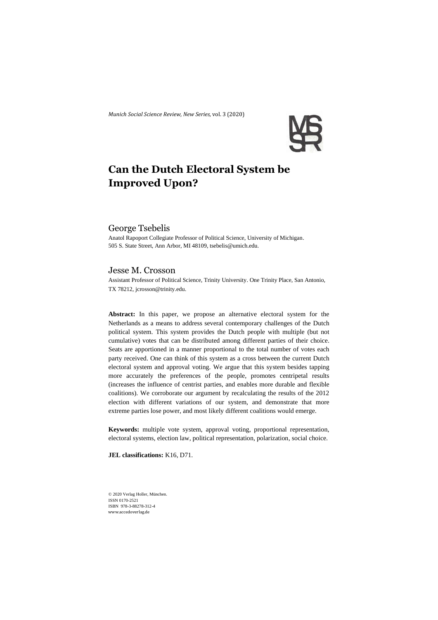*Munich Social Science Review*, *New Series,* vol. 3 (2020)



# **Can the Dutch Electoral System be Improved Upon?**

## George Tsebelis

Anatol Rapoport Collegiate Professor of Political Science, University of Michigan. 505 S. State Street, Ann Arbor, MI 48109, tsebelis@umich.edu.

## Jesse M. Crosson

Assistant Professor of Political Science, Trinity University. One Trinity Place, San Antonio, TX 78212, jcrosson@trinity.edu.

**Abstract:** In this paper, we propose an alternative electoral system for the Netherlands as a means to address several contemporary challenges of the Dutch political system. This system provides the Dutch people with multiple (but not cumulative) votes that can be distributed among different parties of their choice. Seats are apportioned in a manner proportional to the total number of votes each party received. One can think of this system as a cross between the current Dutch electoral system and approval voting. We argue that this system besides tapping more accurately the preferences of the people, promotes centripetal results (increases the influence of centrist parties, and enables more durable and flexible coalitions). We corroborate our argument by recalculating the results of the 2012 election with different variations of our system, and demonstrate that more extreme parties lose power, and most likely different coalitions would emerge.

**Keywords:** multiple vote system, approval voting, proportional representation, electoral systems, election law, political representation, polarization, social choice.

**JEL classifications:** K16, D71.

© 2020 Verlag Holler, München. ISSN 0170-2521 ISBN 978-3-88278-312-4 www.accedoverlag.de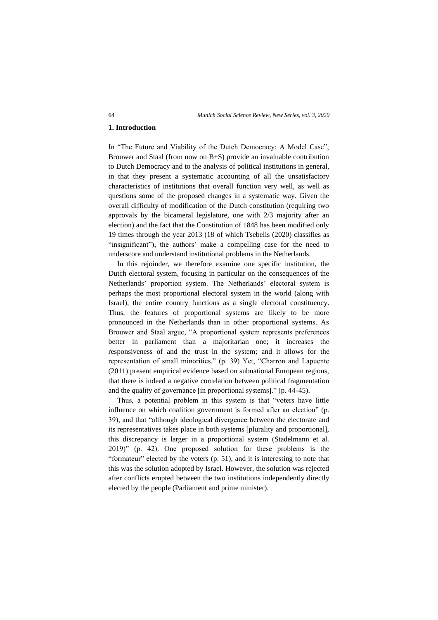#### **1. Introduction**

In "The Future and Viability of the Dutch Democracy: A Model Case", Brouwer and Staal (from now on B+S) provide an invaluable contribution to Dutch Democracy and to the analysis of political institutions in general, in that they present a systematic accounting of all the unsatisfactory characteristics of institutions that overall function very well, as well as questions some of the proposed changes in a systematic way. Given the overall difficulty of modification of the Dutch constitution (requiring two approvals by the bicameral legislature, one with 2/3 majority after an election) and the fact that the Constitution of 1848 has been modified only 19 times through the year 2013 (18 of which Tsebelis (2020) classifies as "insignificant"), the authors' make a compelling case for the need to underscore and understand institutional problems in the Netherlands.

In this rejoinder, we therefore examine one specific institution, the Dutch electoral system, focusing in particular on the consequences of the Netherlands' proportion system. The Netherlands' electoral system is perhaps the most proportional electoral system in the world (along with Israel), the entire country functions as a single electoral constituency. Thus, the features of proportional systems are likely to be more pronounced in the Netherlands than in other proportional systems. As Brouwer and Staal argue, "A proportional system represents preferences better in parliament than a majoritarian one; it increases the responsiveness of and the trust in the system; and it allows for the representation of small minorities." (p. 39) Yet, "Charron and Lapuente (2011) present empirical evidence based on subnational European regions, that there is indeed a negative correlation between political fragmentation and the quality of governance [in proportional systems]." (p. 44-45).

Thus, a potential problem in this system is that "voters have little influence on which coalition government is formed after an election" (p. 39), and that "although ideological divergence between the electorate and its representatives takes place in both systems [plurality and proportional], this discrepancy is larger in a proportional system (Stadelmann et al. 2019)" (p. 42). One proposed solution for these problems is the "formateur" elected by the voters (p. 51), and it is interesting to note that this was the solution adopted by Israel. However, the solution was rejected after conflicts erupted between the two institutions independently directly elected by the people (Parliament and prime minister).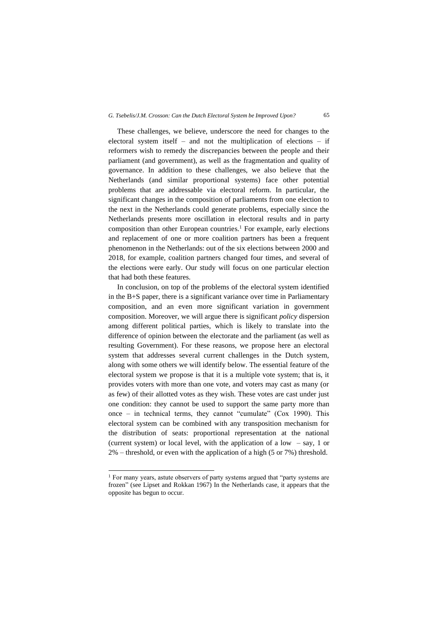These challenges, we believe, underscore the need for changes to the electoral system itself – and not the multiplication of elections – if reformers wish to remedy the discrepancies between the people and their parliament (and government), as well as the fragmentation and quality of governance. In addition to these challenges, we also believe that the Netherlands (and similar proportional systems) face other potential problems that are addressable via electoral reform. In particular, the significant changes in the composition of parliaments from one election to the next in the Netherlands could generate problems, especially since the Netherlands presents more oscillation in electoral results and in party composition than other European countries. <sup>1</sup> For example, early elections and replacement of one or more coalition partners has been a frequent phenomenon in the Netherlands: out of the six elections between 2000 and 2018, for example, coalition partners changed four times, and several of the elections were early. Our study will focus on one particular election that had both these features.

In conclusion, on top of the problems of the electoral system identified in the B+S paper, there is a significant variance over time in Parliamentary composition, and an even more significant variation in government composition. Moreover, we will argue there is significant *policy* dispersion among different political parties, which is likely to translate into the difference of opinion between the electorate and the parliament (as well as resulting Government). For these reasons, we propose here an electoral system that addresses several current challenges in the Dutch system, along with some others we will identify below. The essential feature of the electoral system we propose is that it is a multiple vote system; that is, it provides voters with more than one vote, and voters may cast as many (or as few) of their allotted votes as they wish. These votes are cast under just one condition: they cannot be used to support the same party more than once – in technical terms, they cannot "cumulate" (Cox 1990). This electoral system can be combined with any transposition mechanism for the distribution of seats: proportional representation at the national (current system) or local level, with the application of a low – say, 1 or 2% – threshold, or even with the application of a high (5 or 7%) threshold.

<sup>&</sup>lt;sup>1</sup> For many years, astute observers of party systems argued that "party systems are frozen" (see Lipset and Rokkan 1967) In the Netherlands case, it appears that the opposite has begun to occur.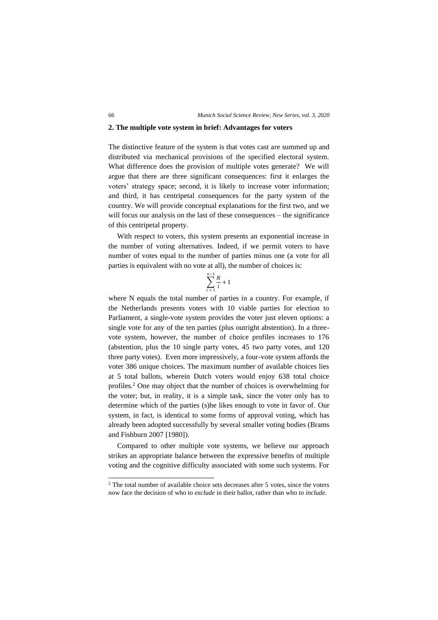#### **2. The multiple vote system in brief: Advantages for voters**

The distinctive feature of the system is that votes cast are summed up and distributed via mechanical provisions of the specified electoral system. What difference does the provision of multiple votes generate? We will argue that there are three significant consequences: first it enlarges the voters' strategy space; second, it is likely to increase voter information; and third, it has centripetal consequences for the party system of the country. We will provide conceptual explanations for the first two, and we will focus our analysis on the last of these consequences – the significance of this centripetal property.

With respect to voters, this system presents an exponential increase in the number of voting alternatives. Indeed, if we permit voters to have number of votes equal to the number of parties minus one (a vote for all parties is equivalent with no vote at all), the number of choices is:

$$
\sum_{i=1}^{n-1}\frac{N}{i}+1
$$

where N equals the total number of parties in a country. For example, if the Netherlands presents voters with 10 viable parties for election to Parliament, a single-vote system provides the voter just eleven options: a single vote for any of the ten parties (plus outright abstention). In a threevote system, however, the number of choice profiles increases to 176 (abstention, plus the 10 single party votes, 45 two party votes, and 120 three party votes). Even more impressively, a four-vote system affords the voter 386 unique choices. The maximum number of available choices lies at 5 total ballots, wherein Dutch voters would enjoy 638 total choice profiles.<sup>2</sup> One may object that the number of choices is overwhelming for the voter; but, in reality, it is a simple task, since the voter only has to determine which of the parties (s)he likes enough to vote in favor of. Our system, in fact, is identical to some forms of approval voting, which has already been adopted successfully by several smaller voting bodies (Brams and Fishburn 2007 [1980]).

Compared to other multiple vote systems, we believe our approach strikes an appropriate balance between the expressive benefits of multiple voting and the cognitive difficulty associated with some such systems. For

<sup>2</sup> The total number of available choice sets decreases after 5 votes, since the voters now face the decision of who to *exclude* in their ballot, rather than who to *include.*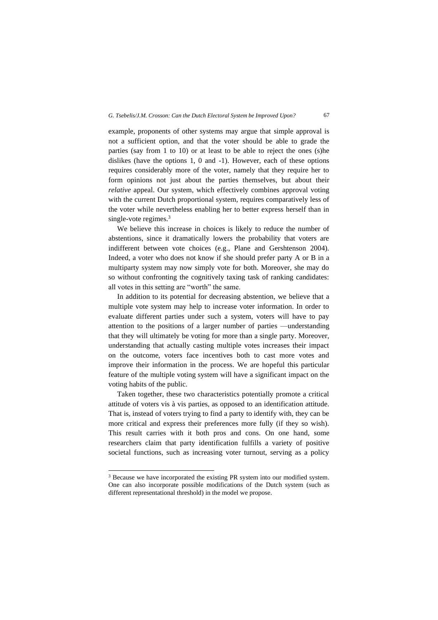example, proponents of other systems may argue that simple approval is not a sufficient option, and that the voter should be able to grade the parties (say from 1 to 10) or at least to be able to reject the ones (s)he dislikes (have the options 1, 0 and -1). However, each of these options requires considerably more of the voter, namely that they require her to form opinions not just about the parties themselves, but about their *relative* appeal. Our system, which effectively combines approval voting with the current Dutch proportional system, requires comparatively less of the voter while nevertheless enabling her to better express herself than in single-vote regimes. 3

We believe this increase in choices is likely to reduce the number of abstentions, since it dramatically lowers the probability that voters are indifferent between vote choices (e.g., Plane and Gershtenson 2004). Indeed, a voter who does not know if she should prefer party A or B in a multiparty system may now simply vote for both. Moreover, she may do so without confronting the cognitively taxing task of ranking candidates: all votes in this setting are "worth" the same.

In addition to its potential for decreasing abstention, we believe that a multiple vote system may help to increase voter information. In order to evaluate different parties under such a system, voters will have to pay attention to the positions of a larger number of parties —understanding that they will ultimately be voting for more than a single party. Moreover, understanding that actually casting multiple votes increases their impact on the outcome, voters face incentives both to cast more votes and improve their information in the process. We are hopeful this particular feature of the multiple voting system will have a significant impact on the voting habits of the public.

Taken together, these two characteristics potentially promote a critical attitude of voters vis à vis parties, as opposed to an identification attitude. That is, instead of voters trying to find a party to identify with, they can be more critical and express their preferences more fully (if they so wish). This result carries with it both pros and cons. On one hand, some researchers claim that party identification fulfills a variety of positive societal functions, such as increasing voter turnout, serving as a policy

<sup>&</sup>lt;sup>3</sup> Because we have incorporated the existing PR system into our modified system. One can also incorporate possible modifications of the Dutch system (such as different representational threshold) in the model we propose.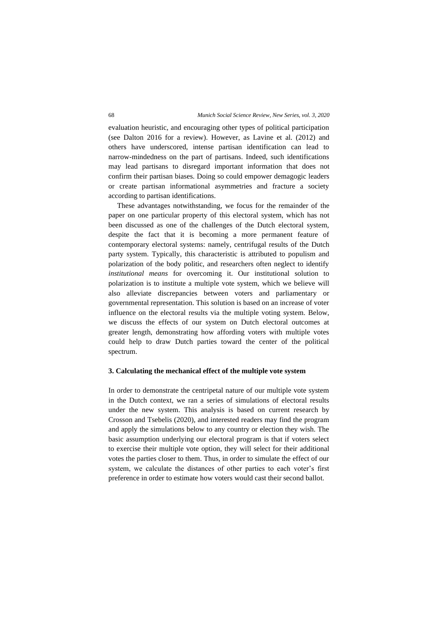evaluation heuristic, and encouraging other types of political participation (see Dalton 2016 for a review). However, as Lavine et al. (2012) and others have underscored, intense partisan identification can lead to narrow-mindedness on the part of partisans. Indeed, such identifications may lead partisans to disregard important information that does not confirm their partisan biases. Doing so could empower demagogic leaders or create partisan informational asymmetries and fracture a society according to partisan identifications.

These advantages notwithstanding, we focus for the remainder of the paper on one particular property of this electoral system, which has not been discussed as one of the challenges of the Dutch electoral system, despite the fact that it is becoming a more permanent feature of contemporary electoral systems: namely, centrifugal results of the Dutch party system. Typically, this characteristic is attributed to populism and polarization of the body politic, and researchers often neglect to identify *institutional means* for overcoming it. Our institutional solution to polarization is to institute a multiple vote system, which we believe will also alleviate discrepancies between voters and parliamentary or governmental representation. This solution is based on an increase of voter influence on the electoral results via the multiple voting system. Below, we discuss the effects of our system on Dutch electoral outcomes at greater length, demonstrating how affording voters with multiple votes could help to draw Dutch parties toward the center of the political spectrum.

### **3. Calculating the mechanical effect of the multiple vote system**

In order to demonstrate the centripetal nature of our multiple vote system in the Dutch context, we ran a series of simulations of electoral results under the new system. This analysis is based on current research by Crosson and Tsebelis (2020), and interested readers may find the program and apply the simulations below to any country or election they wish. The basic assumption underlying our electoral program is that if voters select to exercise their multiple vote option, they will select for their additional votes the parties closer to them. Thus, in order to simulate the effect of our system, we calculate the distances of other parties to each voter's first preference in order to estimate how voters would cast their second ballot.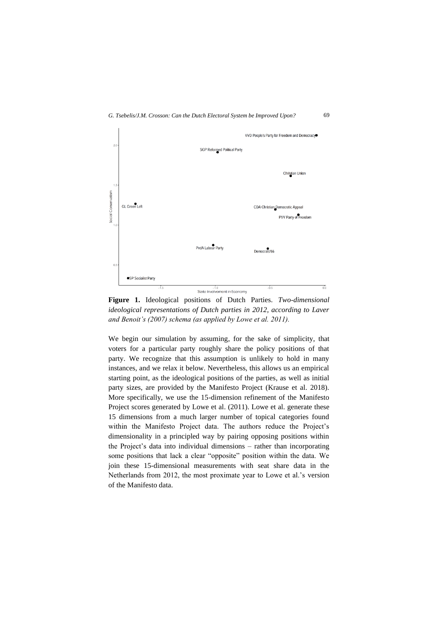

**Figure 1.** Ideological positions of Dutch Parties. *Two-dimensional ideological representations of Dutch parties in 2012, according to Laver and Benoit's (2007) schema (as applied by Lowe et al. 2011).*

We begin our simulation by assuming, for the sake of simplicity, that voters for a particular party roughly share the policy positions of that party. We recognize that this assumption is unlikely to hold in many instances, and we relax it below. Nevertheless, this allows us an empirical starting point, as the ideological positions of the parties, as well as initial party sizes, are provided by the Manifesto Project (Krause et al. 2018). More specifically, we use the 15-dimension refinement of the Manifesto Project scores generated by Lowe et al. (2011). Lowe et al. generate these 15 dimensions from a much larger number of topical categories found within the Manifesto Project data. The authors reduce the Project's dimensionality in a principled way by pairing opposing positions within the Project's data into individual dimensions – rather than incorporating some positions that lack a clear "opposite" position within the data. We join these 15-dimensional measurements with seat share data in the Netherlands from 2012, the most proximate year to Lowe et al.'s version of the Manifesto data.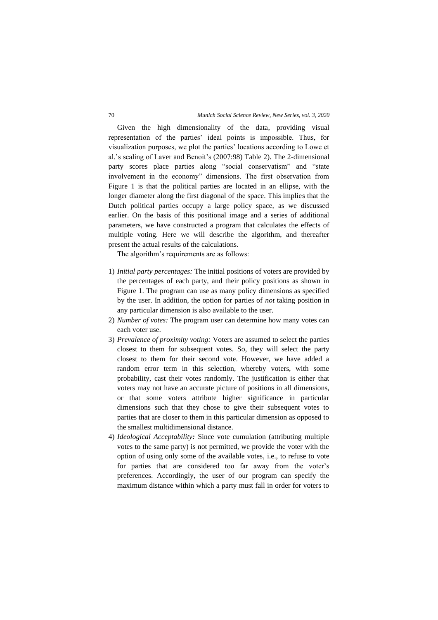Given the high dimensionality of the data, providing visual representation of the parties' ideal points is impossible. Thus, for visualization purposes, we plot the parties' locations according to Lowe et al.'s scaling of Laver and Benoit's (2007:98) Table 2). The 2-dimensional party scores place parties along "social conservatism" and "state involvement in the economy" dimensions. The first observation from Figure 1 is that the political parties are located in an ellipse, with the longer diameter along the first diagonal of the space. This implies that the Dutch political parties occupy a large policy space, as we discussed earlier. On the basis of this positional image and a series of additional parameters, we have constructed a program that calculates the effects of multiple voting. Here we will describe the algorithm, and thereafter present the actual results of the calculations.

The algorithm's requirements are as follows:

- 1) *Initial party percentages:* The initial positions of voters are provided by the percentages of each party, and their policy positions as shown in Figure 1. The program can use as many policy dimensions as specified by the user. In addition, the option for parties of *not* taking position in any particular dimension is also available to the user.
- 2) *Number of votes:* The program user can determine how many votes can each voter use.
- 3) *Prevalence of proximity voting:* Voters are assumed to select the parties closest to them for subsequent votes. So, they will select the party closest to them for their second vote. However, we have added a random error term in this selection, whereby voters, with some probability, cast their votes randomly. The justification is either that voters may not have an accurate picture of positions in all dimensions, or that some voters attribute higher significance in particular dimensions such that they chose to give their subsequent votes to parties that are closer to them in this particular dimension as opposed to the smallest multidimensional distance.
- 4) *Ideological Acceptability:* Since vote cumulation (attributing multiple votes to the same party) is not permitted, we provide the voter with the option of using only some of the available votes, i.e., to refuse to vote for parties that are considered too far away from the voter's preferences. Accordingly, the user of our program can specify the maximum distance within which a party must fall in order for voters to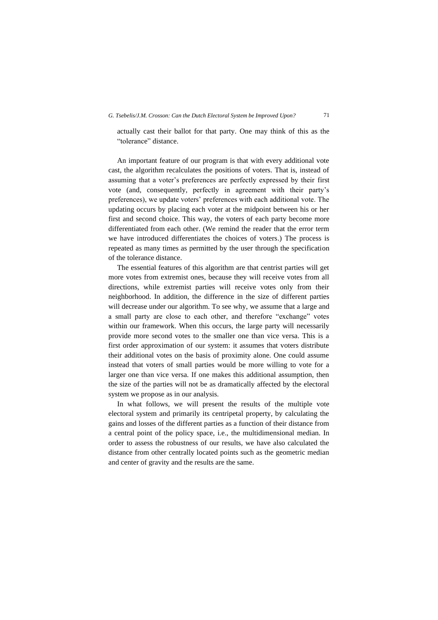actually cast their ballot for that party. One may think of this as the "tolerance" distance.

An important feature of our program is that with every additional vote cast, the algorithm recalculates the positions of voters. That is, instead of assuming that a voter's preferences are perfectly expressed by their first vote (and, consequently, perfectly in agreement with their party's preferences), we update voters' preferences with each additional vote. The updating occurs by placing each voter at the midpoint between his or her first and second choice. This way, the voters of each party become more differentiated from each other. (We remind the reader that the error term we have introduced differentiates the choices of voters.) The process is repeated as many times as permitted by the user through the specification of the tolerance distance.

The essential features of this algorithm are that centrist parties will get more votes from extremist ones, because they will receive votes from all directions, while extremist parties will receive votes only from their neighborhood. In addition, the difference in the size of different parties will decrease under our algorithm. To see why, we assume that a large and a small party are close to each other, and therefore "exchange" votes within our framework. When this occurs, the large party will necessarily provide more second votes to the smaller one than vice versa. This is a first order approximation of our system: it assumes that voters distribute their additional votes on the basis of proximity alone. One could assume instead that voters of small parties would be more willing to vote for a larger one than vice versa. If one makes this additional assumption, then the size of the parties will not be as dramatically affected by the electoral system we propose as in our analysis.

In what follows, we will present the results of the multiple vote electoral system and primarily its centripetal property, by calculating the gains and losses of the different parties as a function of their distance from a central point of the policy space, i.e., the multidimensional median. In order to assess the robustness of our results, we have also calculated the distance from other centrally located points such as the geometric median and center of gravity and the results are the same.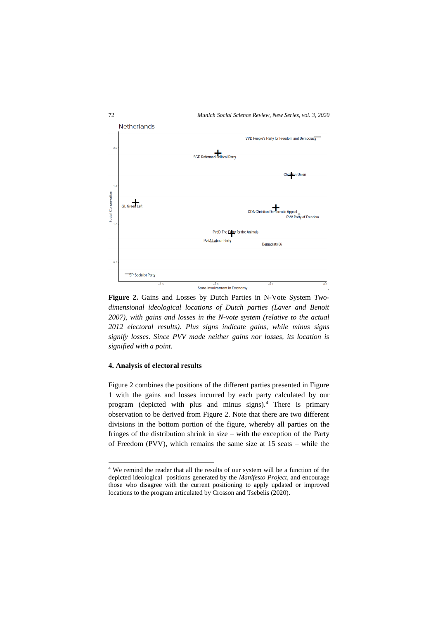

**Figure 2.** Gains and Losses by Dutch Parties in N-Vote System *Twodimensional ideological locations of Dutch parties (Laver and Benoit 2007), with gains and losses in the N-vote system (relative to the actual 2012 electoral results). Plus signs indicate gains, while minus signs signify losses. Since PVV made neither gains nor losses, its location is signified with a point.*

## **4. Analysis of electoral results**

Figure 2 combines the positions of the different parties presented in Figure 1 with the gains and losses incurred by each party calculated by our program (depicted with plus and minus signs).<sup>4</sup> There is primary observation to be derived from Figure 2. Note that there are two different divisions in the bottom portion of the figure, whereby all parties on the fringes of the distribution shrink in size – with the exception of the Party of Freedom (PVV), which remains the same size at 15 seats – while the

<sup>4</sup> We remind the reader that all the results of our system will be a function of the depicted ideological positions generated by the *Manifesto Project*, and encourage those who disagree with the current positioning to apply updated or improved locations to the program articulated by Crosson and Tsebelis (2020).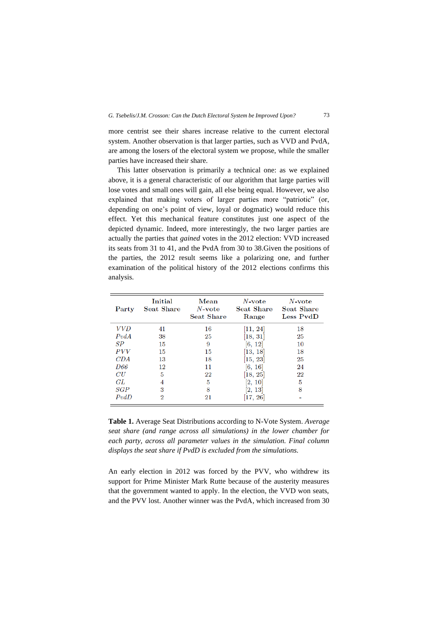more centrist see their shares increase relative to the current electoral system. Another observation is that larger parties, such as VVD and PvdA, are among the losers of the electoral system we propose, while the smaller parties have increased their share.

This latter observation is primarily a technical one: as we explained above, it is a general characteristic of our algorithm that large parties will lose votes and small ones will gain, all else being equal. However, we also explained that making voters of larger parties more "patriotic" (or, depending on one's point of view, loyal or dogmatic) would reduce this effect. Yet this mechanical feature constitutes just one aspect of the depicted dynamic. Indeed, more interestingly, the two larger parties are actually the parties that *gained* votes in the 2012 election: VVD increased its seats from 31 to 41, and the PvdA from 30 to 38.Given the positions of the parties, the 2012 result seems like a polarizing one, and further examination of the political history of the 2012 elections confirms this analysis.

| Party      | Initial<br><b>Seat Share</b> | Mean<br>$N$ -vote<br><b>Seat Share</b> | $N$ -vote<br>Seat Share<br>Range | $N$ -vote<br>Seat Share<br>Less PvdD |
|------------|------------------------------|----------------------------------------|----------------------------------|--------------------------------------|
| <i>VVD</i> | 41                           | 16                                     | [11, 24]                         | 18                                   |
| PvdA       | 38                           | 25                                     | [18, 31]                         | 25                                   |
| SP         | 15                           | 9                                      | [6, 12]                          | 10                                   |
| <i>PVV</i> | 15                           | 15                                     | [13, 18]                         | 18                                   |
| CDA        | 13                           | 18                                     | $\left[15,\,23\right]$           | 25                                   |
| D66        | 12                           | 11                                     | [6, 16]                          | 24                                   |
| CU         | 5                            | 22                                     | [18, 25]                         | $22\,$                               |
| GL         | 4                            | 5                                      | [2, 10]                          | 5                                    |
| SGP        | 3                            | 8                                      | 2, 13                            | 8                                    |
| PvdD       | $\overline{2}$               | 21                                     | [17, 26]                         |                                      |

**Table 1.** Average Seat Distributions according to N-Vote System. *Average seat share (and range across all simulations) in the lower chamber for each party, across all parameter values in the simulation. Final column displays the seat share if PvdD is excluded from the simulations.*

An early election in 2012 was forced by the PVV, who withdrew its support for Prime Minister Mark Rutte because of the austerity measures that the government wanted to apply. In the election, the VVD won seats, and the PVV lost. Another winner was the PvdA, which increased from 30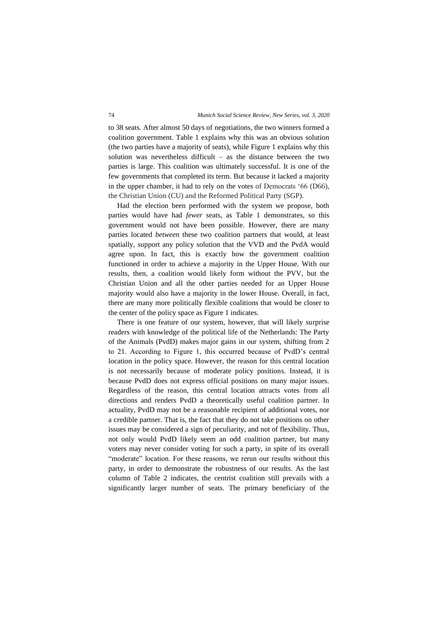to 38 seats. After almost 50 days of negotiations, the two winners formed a coalition government. Table 1 explains why this was an obvious solution (the two parties have a majority of seats), while Figure 1 explains why this solution was nevertheless difficult – as the distance between the two parties is large. This coalition was ultimately successful. It is one of the few governments that completed its term. But because it lacked a majority in the upper chamber, it had to rely on the votes of Democrats '66 (D66), the Christian Union (CU) and the Reformed Political Party (SGP).

Had the election been performed with the system we propose, both parties would have had *fewer* seats, as Table 1 demonstrates, so this government would not have been possible. However, there are many parties located *between* these two coalition partners that would, at least spatially, support any policy solution that the VVD and the PvdA would agree upon. In fact, this is exactly how the government coalition functioned in order to achieve a majority in the Upper House. With our results, then, a coalition would likely form without the PVV, but the Christian Union and all the other parties needed for an Upper House majority would also have a majority in the lower House. Overall, in fact, there are many more politically flexible coalitions that would be closer to the center of the policy space as Figure 1 indicates.

There is one feature of our system, however, that will likely surprise readers with knowledge of the political life of the Netherlands: The Party of the Animals (PvdD) makes major gains in our system, shifting from 2 to 21. According to Figure 1, this occurred because of PvdD's central location in the policy space. However, the reason for this central location is not necessarily because of moderate policy positions. Instead, it is because PvdD does not express official positions on many major issues. Regardless of the reason, this central location attracts votes from all directions and renders PvdD a theoretically useful coalition partner. In actuality, PvdD may not be a reasonable recipient of additional votes, nor a credible partner. That is, the fact that they do not take positions on other issues may be considered a sign of peculiarity, and not of flexibility. Thus, not only would PvdD likely seem an odd coalition partner, but many voters may never consider voting for such a party, in spite of its overall "moderate" location. For these reasons, we rerun our results without this party, in order to demonstrate the robustness of our results. As the last column of Table 2 indicates, the centrist coalition still prevails with a significantly larger number of seats. The primary beneficiary of the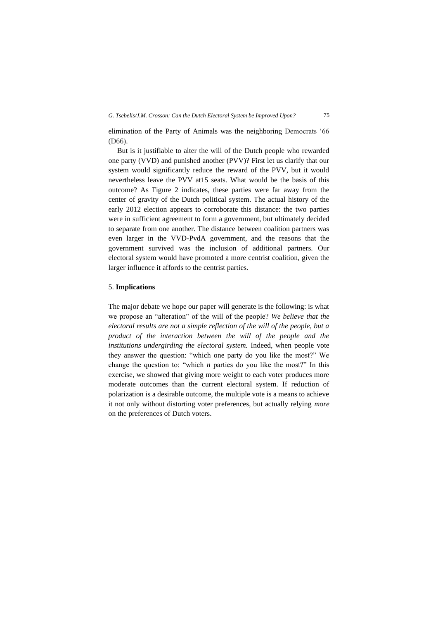elimination of the Party of Animals was the neighboring Democrats '66 (D66).

But is it justifiable to alter the will of the Dutch people who rewarded one party (VVD) and punished another (PVV)? First let us clarify that our system would significantly reduce the reward of the PVV, but it would nevertheless leave the PVV at15 seats. What would be the basis of this outcome? As Figure 2 indicates, these parties were far away from the center of gravity of the Dutch political system. The actual history of the early 2012 election appears to corroborate this distance: the two parties were in sufficient agreement to form a government, but ultimately decided to separate from one another. The distance between coalition partners was even larger in the VVD-PvdA government, and the reasons that the government survived was the inclusion of additional partners. Our electoral system would have promoted a more centrist coalition, given the larger influence it affords to the centrist parties.

### 5. **Implications**

The major debate we hope our paper will generate is the following: is what we propose an "alteration" of the will of the people? *We believe that the electoral results are not a simple reflection of the will of the people, but a product of the interaction between the will of the people and the institutions undergirding the electoral system.* Indeed, when people vote they answer the question: "which one party do you like the most?" We change the question to: "which *n* parties do you like the most?" In this exercise, we showed that giving more weight to each voter produces more moderate outcomes than the current electoral system. If reduction of polarization is a desirable outcome, the multiple vote is a means to achieve it not only without distorting voter preferences, but actually relying *more*  on the preferences of Dutch voters.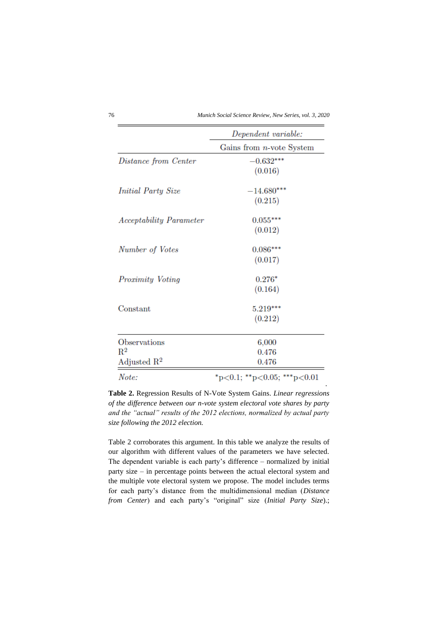76 *Munich Social Science Review, New Series, vol. 3, 2020*

|                                | Dependent variable:         |
|--------------------------------|-----------------------------|
|                                | Gains from $n$ -vote System |
| Distance from Center           | $-0.632***$                 |
|                                | (0.016)                     |
| <i>Initial Party Size</i>      | $-14.680***$                |
|                                | (0.215)                     |
| <b>Acceptability Parameter</b> | $0.055***$                  |
|                                | (0.012)                     |
| Number of Votes                | $0.086***$                  |
|                                | (0.017)                     |
| <i>Proximity Voting</i>        | $0.276*$                    |
|                                | (0.164)                     |
| Constant                       | 5.219***                    |
|                                | (0.212)                     |
| Observations                   | 6,000                       |
| $R^2$                          | 0.476                       |
| Adjusted $\mathbb{R}^2$        | 0.476                       |
| Note:                          | *p<0.1; **p<0.05; ***p<0.01 |

**Table 2.** Regression Results of N-Vote System Gains. *Linear regressions of the difference between our n-vote system electoral vote shares by party and the "actual" results of the 2012 elections, normalized by actual party size following the 2012 election.* 

Table 2 corroborates this argument. In this table we analyze the results of our algorithm with different values of the parameters we have selected. The dependent variable is each party's difference – normalized by initial party size – in percentage points between the actual electoral system and the multiple vote electoral system we propose. The model includes terms for each party's distance from the multidimensional median (*Distance from Center*) and each party's "original" size (*Initial Party Size*).;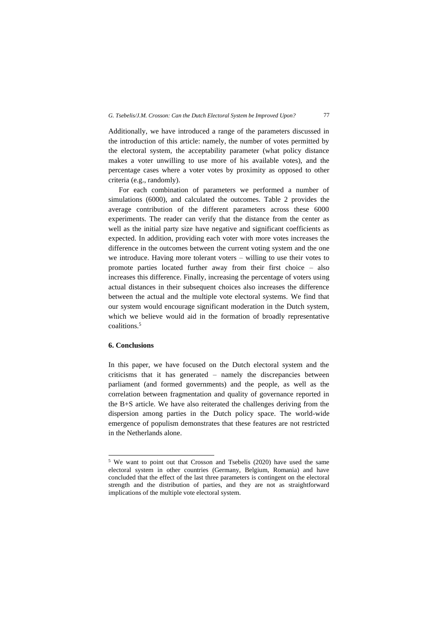Additionally, we have introduced a range of the parameters discussed in the introduction of this article: namely, the number of votes permitted by the electoral system, the acceptability parameter (what policy distance makes a voter unwilling to use more of his available votes), and the percentage cases where a voter votes by proximity as opposed to other criteria (e.g., randomly).

For each combination of parameters we performed a number of simulations (6000), and calculated the outcomes. Table 2 provides the average contribution of the different parameters across these 6000 experiments. The reader can verify that the distance from the center as well as the initial party size have negative and significant coefficients as expected. In addition, providing each voter with more votes increases the difference in the outcomes between the current voting system and the one we introduce. Having more tolerant voters – willing to use their votes to promote parties located further away from their first choice – also increases this difference. Finally, increasing the percentage of voters using actual distances in their subsequent choices also increases the difference between the actual and the multiple vote electoral systems. We find that our system would encourage significant moderation in the Dutch system, which we believe would aid in the formation of broadly representative coalitions.<sup>5</sup>

## **6. Conclusions**

In this paper, we have focused on the Dutch electoral system and the criticisms that it has generated – namely the discrepancies between parliament (and formed governments) and the people, as well as the correlation between fragmentation and quality of governance reported in the B+S article. We have also reiterated the challenges deriving from the dispersion among parties in the Dutch policy space. The world-wide emergence of populism demonstrates that these features are not restricted in the Netherlands alone.

<sup>5</sup> We want to point out that Crossοn and Tsebelis (2020) have used the same electoral system in other countries (Germany, Belgium, Romania) and have concluded that the effect of the last three parameters is contingent on the electoral strength and the distribution of parties, and they are not as straightforward implications of the multiple vote electoral system.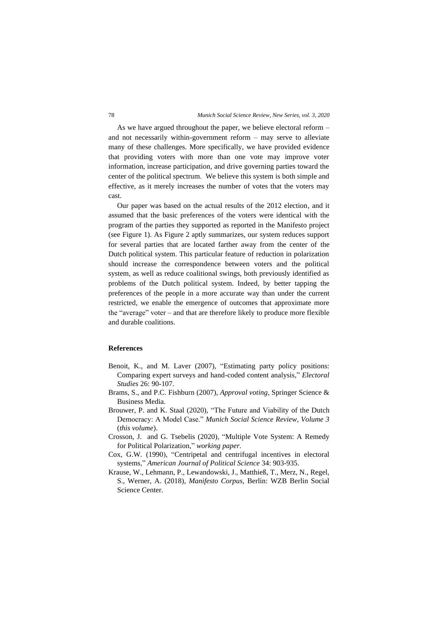As we have argued throughout the paper, we believe electoral reform – and not necessarily within-government reform – may serve to alleviate many of these challenges. More specifically, we have provided evidence that providing voters with more than one vote may improve voter information, increase participation, and drive governing parties toward the center of the political spectrum. We believe this system is both simple and effective, as it merely increases the number of votes that the voters may cast.

Our paper was based on the actual results of the 2012 election, and it assumed that the basic preferences of the voters were identical with the program of the parties they supported as reported in the Manifesto project (see Figure 1). As Figure 2 aptly summarizes, our system reduces support for several parties that are located farther away from the center of the Dutch political system. This particular feature of reduction in polarization should increase the correspondence between voters and the political system, as well as reduce coalitional swings, both previously identified as problems of the Dutch political system. Indeed, by better tapping the preferences of the people in a more accurate way than under the current restricted, we enable the emergence of outcomes that approximate more the "average" voter – and that are therefore likely to produce more flexible and durable coalitions.

#### **References**

- Benoit, K., and M. Laver (2007), "Estimating party policy positions: Comparing expert surveys and hand-coded content analysis," *Electoral Studies* 26: 90-107.
- Brams, S., and P.C. Fishburn (2007), *Approval voting,* Springer Science & Business Media.
- Brouwer, P. and K. Staal (2020), "The Future and Viability of the Dutch Democracy: A Model Case." *Munich Social Science Review, Volume 3*  (*this volume*).
- Crosson, J. and G. Tsebelis (2020), "Multiple Vote System: A Remedy for Political Polarization," *working paper.*
- Cox, G.W. (1990), "Centripetal and centrifugal incentives in electoral systems," *American Journal of Political Science* 34: 903-935.
- Krause, W., Lehmann, P., Lewandowski, J., Matthieß, T., Merz, N., Regel, S., Werner, A. (2018), *Manifesto Corpus*, Berlin: WZB Berlin Social Science Center.